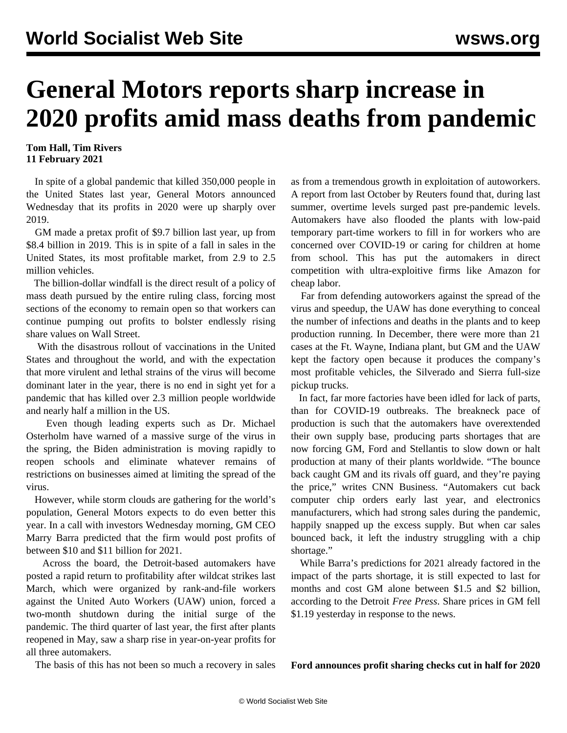# **General Motors reports sharp increase in 2020 profits amid mass deaths from pandemic**

### **Tom Hall, Tim Rivers 11 February 2021**

 In spite of a global pandemic that killed 350,000 people in the United States last year, General Motors announced Wednesday that its profits in 2020 were up sharply over 2019.

 GM made a pretax profit of \$9.7 billion last year, up from \$8.4 billion in 2019. This is in spite of a fall in sales in the United States, its most profitable market, from 2.9 to 2.5 million vehicles.

 The billion-dollar windfall is the direct result of a policy of mass death pursued by the entire ruling class, forcing most sections of the economy to remain open so that workers can continue pumping out profits to bolster endlessly rising share values on Wall Street.

 With the disastrous rollout of vaccinations in the United States and throughout the world, and with the expectation that more virulent and lethal strains of the virus will become dominant later in the year, there is no end in sight yet for a pandemic that has killed over 2.3 million people worldwide and nearly half a million in the US.

 Even though leading experts such as Dr. Michael Osterholm have warned of a [massive surge](/en/articles/2021/02/02/pand-f02.html) of the virus in the spring, the Biden administration is moving rapidly to reopen schools and eliminate whatever remains of restrictions on businesses aimed at limiting the spread of the virus.

 However, while storm clouds are gathering for the world's population, General Motors expects to do even better this year. In a call with investors Wednesday morning, GM CEO Marry Barra predicted that the firm would post profits of between \$10 and \$11 billion for 2021.

 Across the board, the Detroit-based automakers have posted a rapid return to profitability after wildcat strikes last March, which were organized by rank-and-file workers against the United Auto Workers (UAW) union, forced a two-month shutdown during the initial surge of the pandemic. The third quarter of last year, the first after plants reopened in May, saw a sharp rise in year-on-year profits for all three automakers.

The basis of this has not been so much a recovery in sales

as from a tremendous growth in exploitation of autoworkers. A report from last October by Reuters found that, during last summer, overtime levels surged past pre-pandemic levels. Automakers have also flooded the plants with low-paid temporary part-time workers to fill in for workers who are concerned over COVID-19 or caring for children at home from school. This has put the automakers in direct competition with ultra-exploitive firms like Amazon for cheap labor.

 Far from defending autoworkers against the spread of the virus and speedup, the UAW has done everything to conceal the number of infections and deaths in the plants and to keep production running. In December, there were more than 21 cases at the Ft. Wayne, Indiana plant, but GM and the UAW kept the factory open because it produces the company's most profitable vehicles, the Silverado and Sierra full-size pickup trucks.

 In fact, far more factories have been idled for lack of parts, than for COVID-19 outbreaks. The breakneck pace of production is such that the automakers have overextended their own supply base, producing parts shortages that are now forcing GM, Ford and Stellantis to slow down or halt production at many of their plants worldwide. "The bounce back caught GM and its rivals off guard, and they're paying the price," writes CNN Business. "Automakers cut back computer chip orders early last year, and electronics manufacturers, which had strong sales during the pandemic, happily snapped up the excess supply. But when car sales bounced back, it left the industry struggling with a chip shortage."

 While Barra's predictions for 2021 already factored in the impact of the parts shortage, it is still expected to last for months and cost GM alone between \$1.5 and \$2 billion, according to the Detroit *Free Press*. Share prices in GM fell \$1.19 yesterday in response to the news.

### **Ford announces profit sharing checks cut in half for 2020**